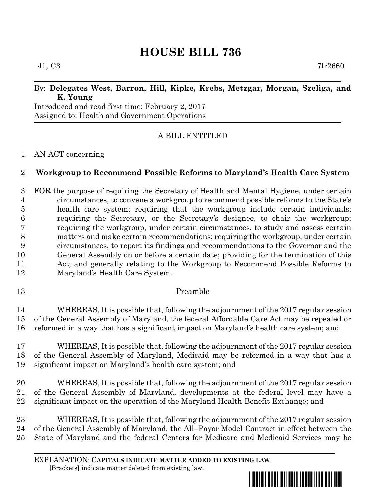# **HOUSE BILL 736**

 $J1, C3$  7lr2660

## By: **Delegates West, Barron, Hill, Kipke, Krebs, Metzgar, Morgan, Szeliga, and K. Young**

Introduced and read first time: February 2, 2017 Assigned to: Health and Government Operations

# A BILL ENTITLED

## AN ACT concerning

# **Workgroup to Recommend Possible Reforms to Maryland's Health Care System**

 FOR the purpose of requiring the Secretary of Health and Mental Hygiene, under certain circumstances, to convene a workgroup to recommend possible reforms to the State's health care system; requiring that the workgroup include certain individuals; requiring the Secretary, or the Secretary's designee, to chair the workgroup; requiring the workgroup, under certain circumstances, to study and assess certain matters and make certain recommendations; requiring the workgroup, under certain circumstances, to report its findings and recommendations to the Governor and the General Assembly on or before a certain date; providing for the termination of this Act; and generally relating to the Workgroup to Recommend Possible Reforms to Maryland's Health Care System.

Preamble

 WHEREAS, It is possible that, following the adjournment of the 2017 regular session of the General Assembly of Maryland, the federal Affordable Care Act may be repealed or reformed in a way that has a significant impact on Maryland's health care system; and

 WHEREAS, It is possible that, following the adjournment of the 2017 regular session of the General Assembly of Maryland, Medicaid may be reformed in a way that has a significant impact on Maryland's health care system; and

 WHEREAS, It is possible that, following the adjournment of the 2017 regular session of the General Assembly of Maryland, developments at the federal level may have a significant impact on the operation of the Maryland Health Benefit Exchange; and

 WHEREAS, It is possible that, following the adjournment of the 2017 regular session of the General Assembly of Maryland, the All–Payor Model Contract in effect between the State of Maryland and the federal Centers for Medicare and Medicaid Services may be

EXPLANATION: **CAPITALS INDICATE MATTER ADDED TO EXISTING LAW**.  **[**Brackets**]** indicate matter deleted from existing law.

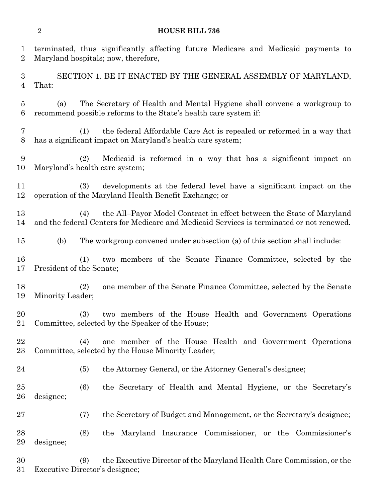#### **HOUSE BILL 736**

terminated, thus significantly affecting future Medicare and Medicaid payments to

 Maryland hospitals; now, therefore, SECTION 1. BE IT ENACTED BY THE GENERAL ASSEMBLY OF MARYLAND, That: (a) The Secretary of Health and Mental Hygiene shall convene a workgroup to recommend possible reforms to the State's health care system if: (1) the federal Affordable Care Act is repealed or reformed in a way that has a significant impact on Maryland's health care system; (2) Medicaid is reformed in a way that has a significant impact on Maryland's health care system; (3) developments at the federal level have a significant impact on the operation of the Maryland Health Benefit Exchange; or (4) the All–Payor Model Contract in effect between the State of Maryland and the federal Centers for Medicare and Medicaid Services is terminated or not renewed. (b) The workgroup convened under subsection (a) of this section shall include: (1) two members of the Senate Finance Committee, selected by the President of the Senate; (2) one member of the Senate Finance Committee, selected by the Senate Minority Leader; (3) two members of the House Health and Government Operations Committee, selected by the Speaker of the House; (4) one member of the House Health and Government Operations Committee, selected by the House Minority Leader; (5) the Attorney General, or the Attorney General's designee; (6) the Secretary of Health and Mental Hygiene, or the Secretary's designee; (7) the Secretary of Budget and Management, or the Secretary's designee;

 (8) the Maryland Insurance Commissioner, or the Commissioner's designee;

 (9) the Executive Director of the Maryland Health Care Commission, or the Executive Director's designee;